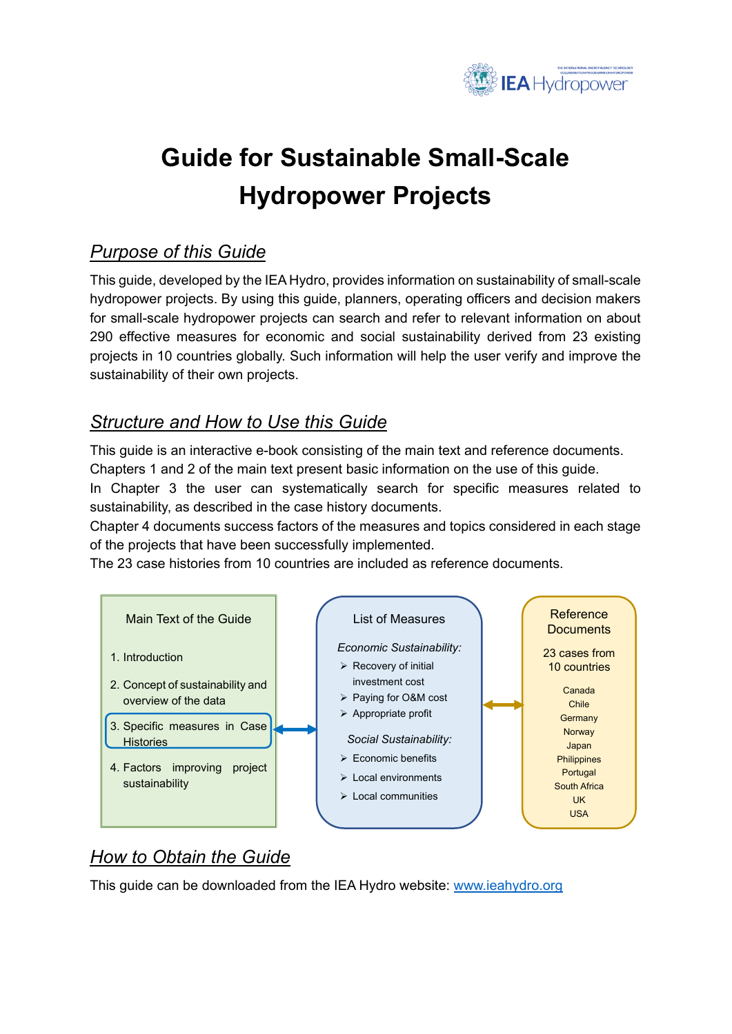

# **Guide for Sustainable Small-Scale Hydropower Projects**

# *Purpose of this Guide*

This guide, developed by the IEA Hydro, provides information on sustainability of small-scale hydropower projects. By using this guide, planners, operating officers and decision makers for small-scale hydropower projects can search and refer to relevant information on about 290 effective measures for economic and social sustainability derived from 23 existing projects in 10 countries globally. Such information will help the user verify and improve the sustainability of their own projects.

## *Structure and How to Use this Guide*

This guide is an interactive e-book consisting of the main text and reference documents. Chapters 1 and 2 of the main text present basic information on the use of this guide.

In Chapter 3 the user can systematically search for specific measures related to sustainability, as described in the case history documents.

Chapter 4 documents success factors of the measures and topics considered in each stage of the projects that have been successfully implemented.

The 23 case histories from 10 countries are included as reference documents.



# *How to Obtain the Guide*

This guide can be downloaded from the IEA Hydro website: [www.ieahydro.org](http://www.ieahydro.org/)